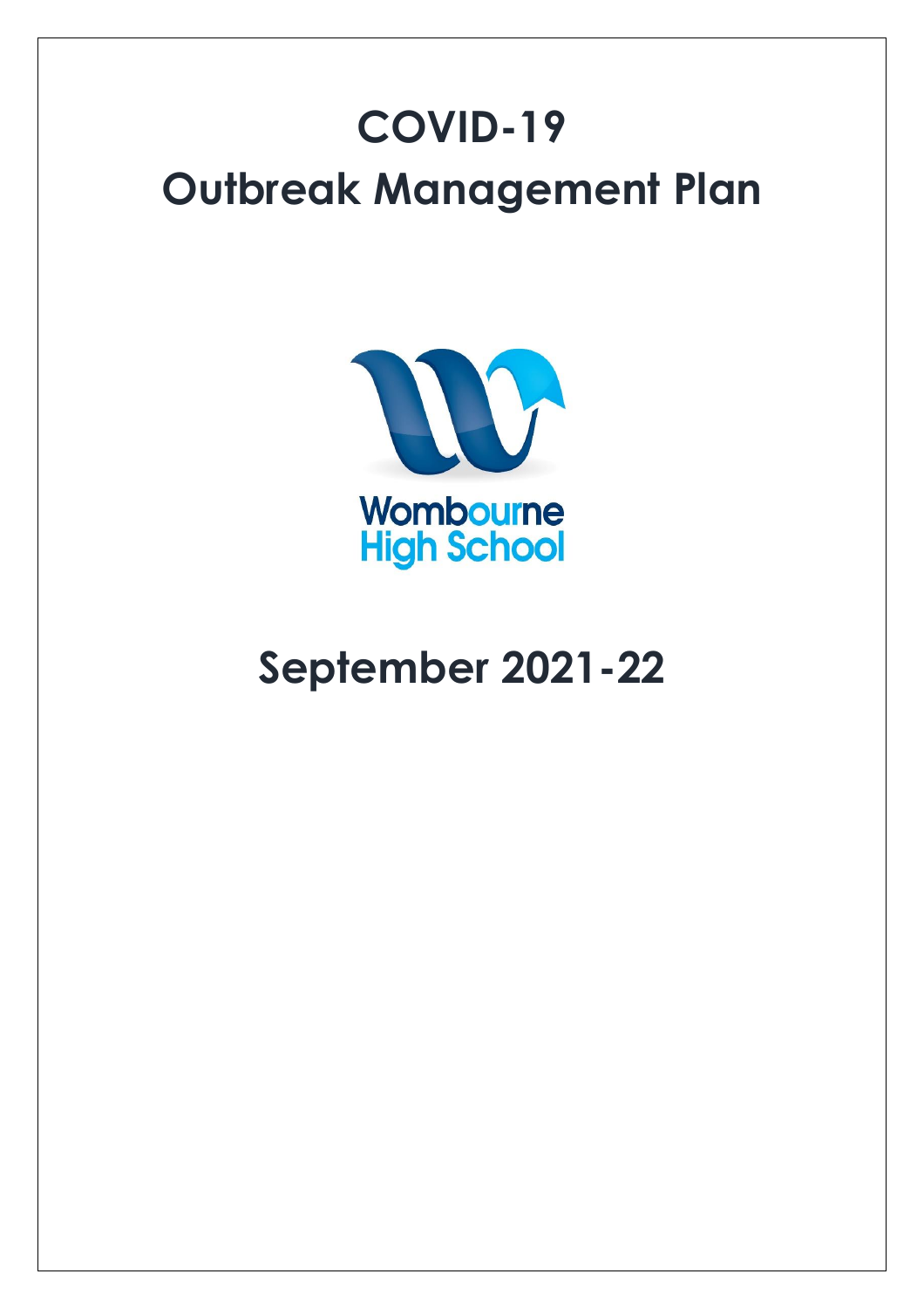# **COVID-19 Outbreak Management Plan**



## **September 2021-22**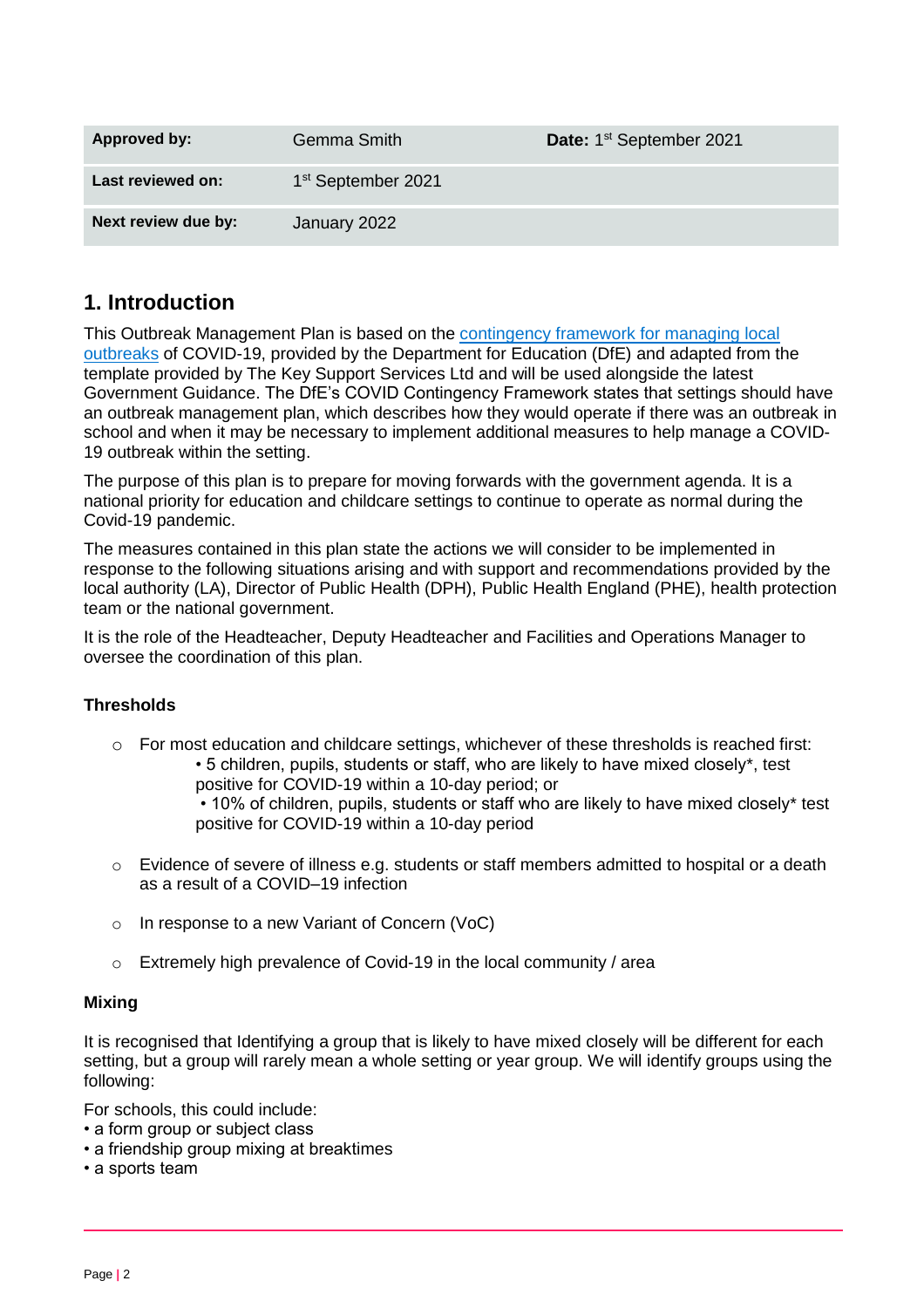| Approved by:        | Gemma Smith                    | Date: 1 <sup>st</sup> September 2021 |
|---------------------|--------------------------------|--------------------------------------|
| Last reviewed on:   | 1 <sup>st</sup> September 2021 |                                      |
| Next review due by: | January 2022                   |                                      |

## **1. Introduction**

This Outbreak Management Plan is based on the [contingency framework for managing local](https://www.gov.uk/government/publications/coronavirus-covid-19-local-restrictions-in-education-and-childcare-settings)  [outbreaks](https://www.gov.uk/government/publications/coronavirus-covid-19-local-restrictions-in-education-and-childcare-settings) of COVID-19, provided by the Department for Education (DfE) and adapted from the template provided by The Key Support Services Ltd and will be used alongside the latest Government Guidance. The DfE's COVID Contingency Framework states that settings should have an outbreak management plan, which describes how they would operate if there was an outbreak in school and when it may be necessary to implement additional measures to help manage a COVID-19 outbreak within the setting.

The purpose of this plan is to prepare for moving forwards with the government agenda. It is a national priority for education and childcare settings to continue to operate as normal during the Covid-19 pandemic.

The measures contained in this plan state the actions we will consider to be implemented in response to the following situations arising and with support and recommendations provided by the local authority (LA), Director of Public Health (DPH), Public Health England (PHE), health protection team or the national government.

It is the role of the Headteacher, Deputy Headteacher and Facilities and Operations Manager to oversee the coordination of this plan.

## **Thresholds**

 $\circ$  For most education and childcare settings, whichever of these thresholds is reached first: • 5 children, pupils, students or staff, who are likely to have mixed closely\*, test positive for COVID-19 within a 10-day period; or

> • 10% of children, pupils, students or staff who are likely to have mixed closely\* test positive for COVID-19 within a 10-day period

- o Evidence of severe of illness e.g. students or staff members admitted to hospital or a death as a result of a COVID–19 infection
- o In response to a new Variant of Concern (VoC)
- o Extremely high prevalence of Covid-19 in the local community / area

## **Mixing**

It is recognised that Identifying a group that is likely to have mixed closely will be different for each setting, but a group will rarely mean a whole setting or year group. We will identify groups using the following:

For schools, this could include:

- a form group or subject class
- a friendship group mixing at breaktimes
- a sports team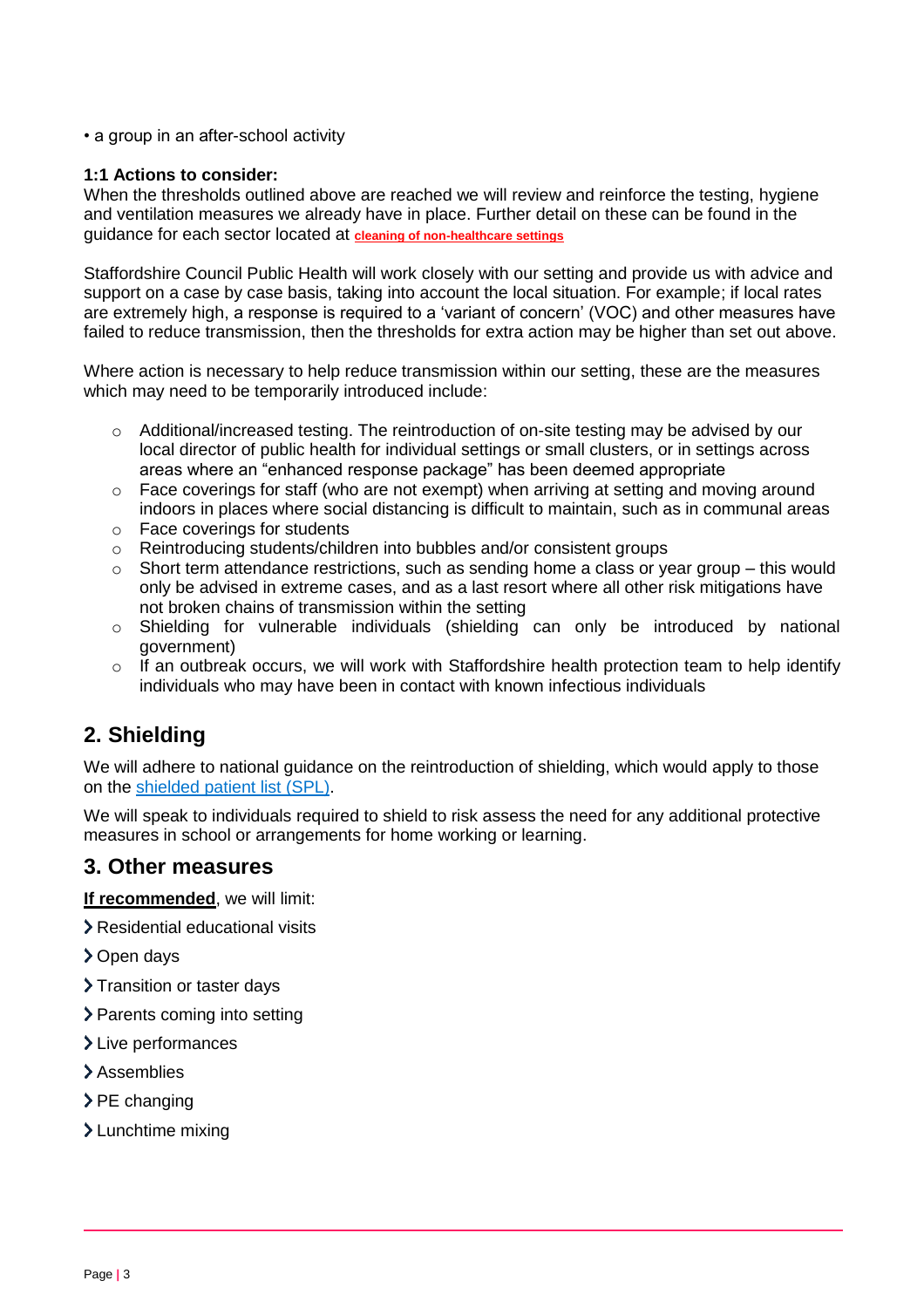• a group in an after-school activity

#### **1:1 Actions to consider:**

When the thresholds outlined above are reached we will review and reinforce the testing, hygiene and ventilation measures we already have in place. Further detail on these can be found in the guidance for each sector located at **[cleaning of non-healthcare settings](https://www.gov.uk/government/publications/covid-19-decontamination-in-non-healthcare-settings)**

Staffordshire Council Public Health will work closely with our setting and provide us with advice and support on a case by case basis, taking into account the local situation. For example; if local rates are extremely high, a response is required to a 'variant of concern' (VOC) and other measures have failed to reduce transmission, then the thresholds for extra action may be higher than set out above.

Where action is necessary to help reduce transmission within our setting, these are the measures which may need to be temporarily introduced include:

- o Additional/increased testing. The reintroduction of on-site testing may be advised by our local director of public health for individual settings or small clusters, or in settings across areas where an "enhanced response package" has been deemed appropriate
- $\circ$  Face coverings for staff (who are not exempt) when arriving at setting and moving around indoors in places where social distancing is difficult to maintain, such as in communal areas
- o Face coverings for students
- o Reintroducing students/children into bubbles and/or consistent groups
- o Short term attendance restrictions, such as sending home a class or year group this would only be advised in extreme cases, and as a last resort where all other risk mitigations have not broken chains of transmission within the setting
- o Shielding for vulnerable individuals (shielding can only be introduced by national government)
- $\circ$  If an outbreak occurs, we will work with Staffordshire health protection team to help identify individuals who may have been in contact with known infectious individuals

## **2. Shielding**

We will adhere to national guidance on the reintroduction of shielding, which would apply to those on the shielded [patient list \(SPL\).](https://digital.nhs.uk/coronavirus/shielded-patient-list)

We will speak to individuals required to shield to risk assess the need for any additional protective measures in school or arrangements for home working or learning.

## **3. Other measures**

**If recommended**, we will limit:

- Residential educational visits
- > Open days
- > Transition or taster days
- > Parents coming into setting
- > Live performances
- > Assemblies
- $\geq$  PE changing
- > Lunchtime mixing